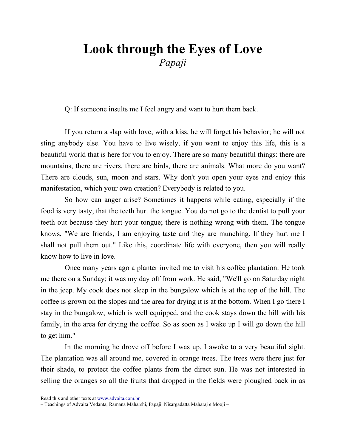## Look through the Eyes of Love Papaji

Q: If someone insults me I feel angry and want to hurt them back.

If you return a slap with love, with a kiss, he will forget his behavior; he will not sting anybody else. You have to live wisely, if you want to enjoy this life, this is a beautiful world that is here for you to enjoy. There are so many beautiful things: there are mountains, there are rivers, there are birds, there are animals. What more do you want? There are clouds, sun, moon and stars. Why don't you open your eyes and enjoy this manifestation, which your own creation? Everybody is related to you.

So how can anger arise? Sometimes it happens while eating, especially if the food is very tasty, that the teeth hurt the tongue. You do not go to the dentist to pull your teeth out because they hurt your tongue; there is nothing wrong with them. The tongue knows, "We are friends, I am enjoying taste and they are munching. If they hurt me I shall not pull them out." Like this, coordinate life with everyone, then you will really know how to live in love.

Once many years ago a planter invited me to visit his coffee plantation. He took me there on a Sunday; it was my day off from work. He said, "We'll go on Saturday night in the jeep. My cook does not sleep in the bungalow which is at the top of the hill. The coffee is grown on the slopes and the area for drying it is at the bottom. When I go there I stay in the bungalow, which is well equipped, and the cook stays down the hill with his family, in the area for drying the coffee. So as soon as I wake up I will go down the hill to get him."

In the morning he drove off before I was up. I awoke to a very beautiful sight. The plantation was all around me, covered in orange trees. The trees were there just for their shade, to protect the coffee plants from the direct sun. He was not interested in selling the oranges so all the fruits that dropped in the fields were ploughed back in as

Read this and other texts at www.advaita.com.br

<sup>–</sup> Teachings of Advaita Vedanta, Ramana Maharshi, Papaji, Nisargadatta Maharaj e Mooji –